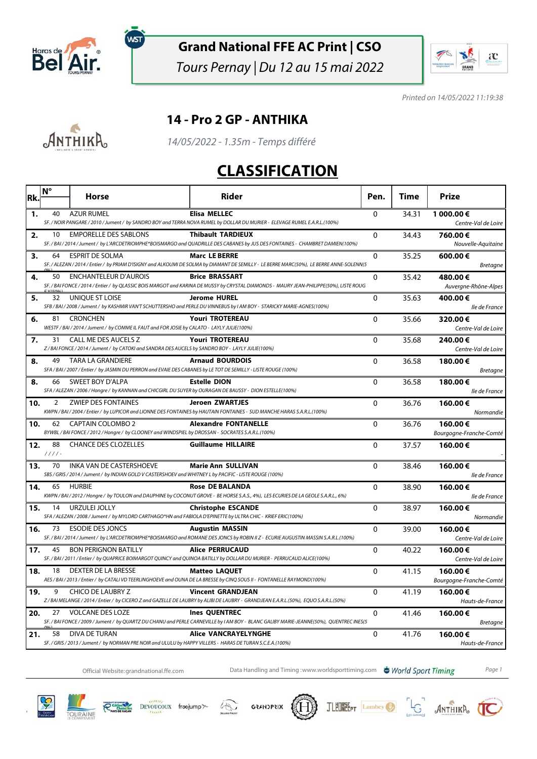

์พรา

#### **Grand National FFE AC Print | CSO**

Tours Pernay | Du 12 au 15 mai 2022



Printed on 14/05/2022 11:19:38

#### **14 - Pro 2 GP - ANTHIKA**



14/05/2022 - 1.35m - Temps différé

#### **CLASSIFICATION**

| Rk. | Ν°             | Horse                                                                                                                                       | <b>Rider</b>                                                                                                                                                     | Pen.         | Time  | Prize                              |
|-----|----------------|---------------------------------------------------------------------------------------------------------------------------------------------|------------------------------------------------------------------------------------------------------------------------------------------------------------------|--------------|-------|------------------------------------|
| 1.  | 40             | <b>AZUR RUMEL</b>                                                                                                                           | <b>Elisa MELLEC</b><br>SF. / NOIR PANGARE / 2010 / Jument / by SANDRO BOY and TERRA NOVA RUMEL by DOLLAR DU MURIER - ELEVAGE RUMEL E.A.R.L.(100%)                | 0            | 34.31 | 1 000.00€<br>Centre-Val de Loire   |
| 2.  | 10             | <b>EMPORELLE DES SABLONS</b>                                                                                                                | <b>Thibault TARDIEUX</b><br>SF. / BAI / 2014 / Jument / by L'ARCDETRIOMPHE*BOISMARGO and QUADRILLE DES CABANES by JUS DES FONTAINES - CHAMBRET DAMIEN(100%)      | $\Omega$     | 34.43 | 760.00€<br>Nouvelle-Aquitaine      |
| 3.  | 64             | <b>ESPRIT DE SOLMA</b>                                                                                                                      | <b>Marc LE BERRE</b><br>SF. / ALEZAN / 2014 / Entier / by PRIAM D'ISIGNY and ALKOUMI DE SOLMA by DIAMANT DE SEMILLY - LE BERRE MARC(50%), LE BERRE ANNE-SOLENN(5 | $\mathbf{0}$ | 35.25 | 600.00 €<br><b>Bretagne</b>        |
| 4.  | 50             | <b>ENCHANTELEUR D'AUROIS</b>                                                                                                                | <b>Brice BRASSART</b><br>SF. / BAI FONCE / 2014 / Entier / by QLASSIC BOIS MARGOT and KARINA DE MUSSY by CRYSTAL DIAMONDS - MAURY JEAN-PHILIPPE(50%), LISTE ROUG | $\Omega$     | 35.42 | 480.00€<br>Auvergne-Rhône-Alpes    |
| 5.  | 32             | UNIQUE ST LOISE                                                                                                                             | <b>Jerome HUREL</b><br>SFB / BAI / 2008 / Jument / by KASHMIR VAN'T SCHUTTERSHO and PERLE DU VINNEBUS by I AM BOY - STARICKY MARIE-AGNES(100%)                   | 0            | 35.63 | 400.00€<br>lle de France           |
| 6.  | 81             | <b>CRONCHEN</b><br>WESTF / BAI / 2014 / Jument / by COMME IL FAUT and FOR JOSIE by CALATO - LAYLY JULIE(100%)                               | <b>Youri TROTEREAU</b>                                                                                                                                           | $\mathbf{0}$ | 35.66 | 320.00€<br>Centre-Val de Loire     |
| 7.  | 31             | CALL ME DES AUCELS Z<br>Z / BAI FONCE / 2014 / Jument / by CATOKI and SANDRA DES AUCELS by SANDRO BOY - LAYLY JULIE(100%)                   | <b>Youri TROTEREAU</b>                                                                                                                                           | $\Omega$     | 35.68 | 240.00€<br>Centre-Val de Loire     |
| 8.  | 49             | <b>TARA LA GRANDIERE</b><br>SFA / BAI / 2007 / Entier / by JASMIN DU PERRON and EVAIE DES CABANES by LE TOT DE SEMILLY - LISTE ROUGE (100%) | <b>Arnaud BOURDOIS</b>                                                                                                                                           | 0            | 36.58 | 180.00€<br><b>Bretagne</b>         |
| 8.  | 66             | SWEET BOY D'ALPA<br>SFA / ALEZAN / 2006 / Hongre / by KANNAN and CHICGIRL DU SUYER by OURAGAN DE BAUSSY - DION ESTELLE(100%)                | <b>Estelle DION</b>                                                                                                                                              | $\Omega$     | 36.58 | 180.00€<br>lle de France           |
| 10. | 2              | <b>ZWIEP DES FONTAINES</b>                                                                                                                  | <b>Jeroen ZWARTJES</b><br>KWPN / BAI / 2004 / Entier / by LUPICOR and LIONNE DES FONTAINES by HAUTAIN FONTAINES - SUD MANCHE HARAS S.A.R.L.(100%)                | $\Omega$     | 36.76 | 160.00€<br>Normandie               |
| 10. | 62             | <b>CAPTAIN COLOMBO 2</b><br>BYWBL / BAI FONCE / 2012 / Hongre / by CLOONEY and WINDSPIEL by DROSSAN - SOCRATES S.A.R.L.(100%)               | <b>Alexandre FONTANELLE</b>                                                                                                                                      | $\mathbf{0}$ | 36.76 | 160.00€<br>Bourgogne-Franche-Comté |
| 12. | 88<br>$1111 -$ | <b>CHANCE DES CLOZELLES</b>                                                                                                                 | <b>Guillaume HILLAIRE</b>                                                                                                                                        | 0            | 37.57 | 160.00€                            |
| 13. | 70             | INKA VAN DE CASTERSHOEVE<br>SBS / GRIS / 2014 / Jument / by INDIAN GOLD V CASTERSHOEV and WHITNEY L by PACIFIC - LISTE ROUGE (100%)         | <b>Marie Ann SULLIVAN</b>                                                                                                                                        | $\mathbf 0$  | 38.46 | 160.00€<br>lle de France           |
| 14. | 65             | <b>HURBIE</b>                                                                                                                               | <b>Rose DE BALANDA</b><br>KWPN / BAI / 2012 / Hongre / by TOULON and DAUPHINE by COCONUT GROVE - BE HORSE S.A.S., 4%), LES ECURIES DE LA GEOLE S.A.R.L., 6%)     | $\Omega$     | 38.90 | 160.00€<br>lle de France           |
| 15. | 14             | URZULEI JOLLY<br>SFA / ALEZAN / 2008 / Jument / by MYLORD CARTHAGO*HN and FABIOLA D'EPINETTE by ULTRA CHIC - KRIEF ERIC(100%)               | <b>Christophe ESCANDE</b>                                                                                                                                        | 0            | 38.97 | 160.00€<br>Normandie               |
| 16. | 73             | <b>ESODIE DES JONCS</b>                                                                                                                     | <b>Augustin MASSIN</b><br>SF. / BAI / 2014 / Jument / by L'ARCDETRIOMPHE*BOISMARGO and ROMANE DES JONCS by ROBIN II Z - ECURIE AUGUSTIN MASSIN S.A.R.L.(100%)    | $\Omega$     | 39.00 | 160.00€<br>Centre-Val de Loire     |
| 17. | 45             | <b>BON PERIGNON BATILLY</b>                                                                                                                 | <b>Alice PERRUCAUD</b><br>SF. / BAI / 2011 / Entier / by QUAPRICE BOIMARGOT QUINCY and QUINOA BATILLY by DOLLAR DU MURIER - PERRUCAUD ALICE(100%)                | 0            | 40.22 | 160.00€<br>Centre-Val de Loire     |
| 18. | 18             | DEXTER DE LA BRESSE                                                                                                                         | <b>Matteo LAQUET</b><br>AES / BAI / 2013 / Entier / by CATALI VD TEERLINGHOEVE and OUNA DE LA BRESSE by CINQ SOUS II - FONTANELLE RAYMOND(100%)                  | $\mathbf 0$  | 41.15 | 160.00€<br>Bourgogne-Franche-Comté |
| 19. | 9              | <b>CHICO DE LAUBRY Z</b>                                                                                                                    | <b>Vincent GRANDJEAN</b><br>Z/BAI MELANGE/2014/Entier/ by CICERO Z and GAZELLE DE LAUBRY by ALIBI DE LAUBRY - GRANDJEAN E.A.R.L.(50%), EQUO S.A.R.L.(50%)        | 0            | 41.19 | 160.00€<br>Hauts-de-France         |
| 20. | 27             | VOLCANE DES LOZE                                                                                                                            | <b>Ines QUENTREC</b><br>SF. / BAI FONCE / 2009 / Jument / by QUARTZ DU CHANU and PERLE CARNEVILLE by I AM BOY - BLANC GALIBY MARIE-JEANNE(50%), QUENTREC INES(5  | $\mathbf{0}$ | 41.46 | 160.00€<br><b>Bretagne</b>         |
| 21. | 58             | DIVA DE TURAN<br>SF. / GRIS / 2013 / Jument / by NORMAN PRE NOIR and ULULU by HAPPY VILLERS - HARAS DE TURAN S.C.E.A.(100%)                 | <b>Alice VANCRAYELYNGHE</b>                                                                                                                                      | $\Omega$     | 41.76 | 160.00€<br>Hauts-de-France         |

Official Website:grandnational.ffe.com Data Handling and Timing :www.worldsporttiming.com **& World Sport Timing** Page 1

**JLEUNEEPT** Lambey

**S** ANTHIKA







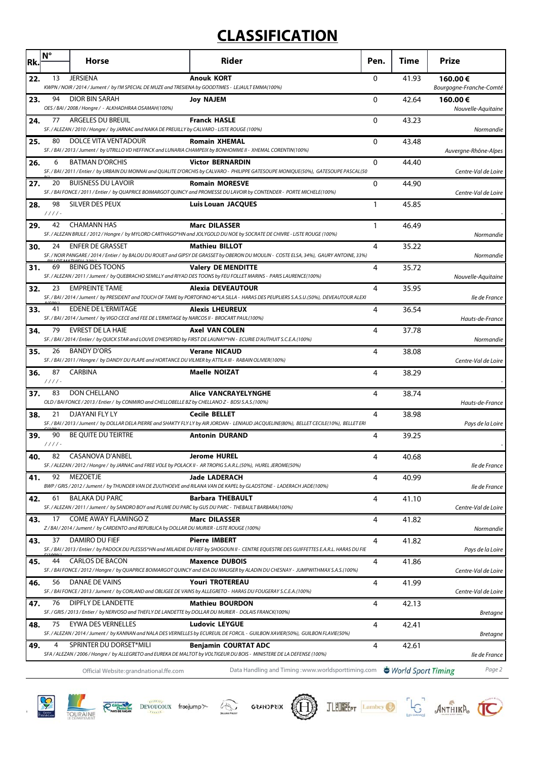## **CLASSIFICATION**

| Rk. | $N^{\circ}$    | Horse                                                                                                                                 | <b>Rider</b>                                                                                                                                                                                     | Pen.     | <b>Time</b> | <b>Prize</b>                         |
|-----|----------------|---------------------------------------------------------------------------------------------------------------------------------------|--------------------------------------------------------------------------------------------------------------------------------------------------------------------------------------------------|----------|-------------|--------------------------------------|
| 22. | 13             | <b>JERSIENA</b><br>KWPN / NOIR / 2014 / Jument / by I'M SPECIAL DE MUZE and TRESIENA by GOODTIMES - LEJAULT EMMA(100%)                | <b>Anouk KORT</b>                                                                                                                                                                                | 0        | 41.93       | 160.00€<br>Bourgogne-Franche-Comté   |
| 23. | 94             | <b>DIOR BIN SARAH</b><br>OES / BAI / 2008 / Hongre / - ALKHADHRAA OSAMAH(100%)                                                        | Joy NAJEM                                                                                                                                                                                        | $\Omega$ | 42.64       | 160.00€<br>Nouvelle-Aquitaine        |
| 24. | 77             | ARGELES DU BREUIL<br>SF./ALEZAN/2010/Hongre/ by JARNAC and NAIKA DE PREUILLY by CALVARO - LISTE ROUGE (100%)                          | <b>Franck HASLE</b>                                                                                                                                                                              | $\Omega$ | 43.23       | Normandie                            |
| 25. | 80             | DOLCE VITA VENTADOUR                                                                                                                  | <b>Romain XHEMAL</b><br>SF./BAI/2013/Jument/ by UTRILLO VD HEFFINCK and LUNARIA CHAMPEIX by BONHOMME II - XHEMAL CORENTIN(100%)                                                                  | 0        | 43.48       | Auvergne-Rhône-Alpes                 |
| 26. | 6              | <b>BATMAN D'ORCHIS</b>                                                                                                                | <b>Victor BERNARDIN</b><br>SF. / BAI / 2011 / Entier / by URBAIN DU MONNAI and QUALITE D'ORCHIS by CALVARO - PHILIPPE GATESOUPE MONIQUE(50%), GATESOUPE PASCAL(50                                | 0        | 44.40       | Centre-Val de Loire                  |
| 27. | 20             | <b>BUISNESS DU LAVOIR</b>                                                                                                             | <b>Romain MORESVE</b><br>SF. / BAI FONCE / 2011 / Entier / by QUAPRICE BOIMARGOT QUINCY and PROMESSE DU LAVOIR by CONTENDER - PORTE MICHELE(100%)                                                | 0        | 44.90       | Centre-Val de Loire                  |
| 28. | 98<br>$1111 -$ | SILVER DES PEUX                                                                                                                       | <b>Luis Louan JACQUES</b>                                                                                                                                                                        | 1        | 45.85       |                                      |
| 29. | 42             | <b>CHAMANN HAS</b>                                                                                                                    | <b>Marc DILASSER</b><br>SF. / ALEZAN BRULE / 2012 / Hongre / by MYLORD CARTHAGO*HN and JOLYGOLD DU NOE by SOCRATE DE CHIVRE - LISTE ROUGE (100%)                                                 | 1        | 46.49       | Normandie                            |
| 30. | 24             | <b>ENFER DE GRASSET</b>                                                                                                               | <b>Mathieu BILLOT</b><br>SF. / NOIR PANGARE / 2014 / Entier / by BALOU DU ROUET and GIPSY DE GRASSET by OBERON DU MOULIN - COSTE ELSA, 34%), GAURY ANTOINE, 33%)                                 | 4        | 35.22       | Normandie                            |
| 31. | 69             | <b>BEING DES TOONS</b>                                                                                                                | <b>Valery DE MENDITTE</b><br>SF./ALEZAN/2011/Jument/ by QUEBRACHO SEMILLY and RIYAD DES TOONS by FEU FOLLET MARINS - PARIS LAURENCE(100%)                                                        | 4        | 35.72       | Nouvelle-Aquitaine                   |
| 32. | 23             | <b>EMPREINTE TAME</b>                                                                                                                 | Alexia DEVEAUTOUR<br>SF. / BAI / 2014 / Jument / by PRESIDENT and TOUCH OF TAME by PORTOFINO 46*LA SILLA - HARAS DES PEUPLIERS S.A.S.U.(50%), DEVEAUTOUR ALEXI                                   | 4        | 35.95       | lle de France                        |
| 33. | 41             | EDENE DE L'ERMITAGE<br>SF./BAI/2014/Jument/ by VIGO CECE and FEE DE L'ERMITAGE by NARCOS II - BROCART PAUL(100%)                      | <b>Alexis LHEUREUX</b>                                                                                                                                                                           | 4        | 36.54       | Hauts-de-France                      |
| 34. | 79             | <b>EVREST DE LA HAIE</b>                                                                                                              | <b>Axel VAN COLEN</b><br>SF./BAI/2014/Entier/by QUICK STAR and LOUVE D'HESPERID by FIRST DE LAUNAY*HN - ECURIE D'AUTHUIT S.C.E.A.(100%)                                                          | 4        | 37.78       | Normandie                            |
| 35. | 26             | <b>BANDY D'ORS</b><br>SF./BAI/2011/Hongre/ by DANDY DU PLAPE and HORTANCE DU VILMER by ATTILA III - RABAIN OLIVIER(100%)              | <b>Verane NICAUD</b>                                                                                                                                                                             | 4        | 38.08       | Centre-Val de Loire                  |
| 36. | 87<br>$1111 -$ | <b>CARBINA</b>                                                                                                                        | <b>Maelle NOIZAT</b>                                                                                                                                                                             | 4        | 38.29       |                                      |
| 37. | 83             | DON CHELLANO<br>OLD / BAI FONCE / 2013 / Entier / by CONMIRO and CHELLOBELLE BZ by CHELLANO Z - BDSI S.A.S.(100%)                     | <b>Alice VANCRAYELYNGHE</b>                                                                                                                                                                      | 4        | 38.74       | Hauts-de-France                      |
| 38. | 21             | DJAYANI FLY LY                                                                                                                        | <b>Cecile BELLET</b><br>SF./BAI/2013/Jument/ by DOLLAR DELA PIERRE and SHAKTY FLY LY by AIR JORDAN - LENIAUD JACQUELINE(80%), BELLET CECILE(10%), BELLET ERI                                     | 4        | 38.98       | Pays de la Loire                     |
| 39. | 90<br>$1111 -$ | BE QUITE DU TEIRTRE                                                                                                                   | <b>Antonin DURAND</b>                                                                                                                                                                            | 4        | 39.25       |                                      |
| 40. | 82             | <b>CASANOVA D'ANBEL</b><br>SF./ALEZAN/2012/Hongre/ by JARNAC and FREE VOLE by POLACK II - AR TROPIG S.A.R.L.(50%), HUREL JEROME(50%)  | Jerome HUREL                                                                                                                                                                                     | 4        | 40.68       |                                      |
| 41. | 92             | MEZOETJE                                                                                                                              | Jade LADERACH<br>BWP/GRIS/2012/Jument/ by THUNDER VAN DE ZUUTHOEVE and RILANA VAN DE KAPEL by GLADSTONE - LADERACH JADE(100%)                                                                    | 4        | 40.99       | lle de France                        |
| 42. | 61             | <b>BALAKA DU PARC</b><br>SF./ALEZAN/2011/Jument/ by SANDRO BOY and PLUME DU PARC by GUS DU PARC - THEBAULT BARBARA(100%)              | <b>Barbara THEBAULT</b>                                                                                                                                                                          | 4        | 41.10       | lle de France<br>Centre-Val de Loire |
| 43. | 17             | COME AWAY FLAMINGO Z<br>Z/BAI/2014/Jument/ by CARDENTO and REPUBLICA by DOLLAR DU MURIER - LISTE ROUGE (100%)                         | <b>Marc DILASSER</b>                                                                                                                                                                             | 4        | 41.82       | Normandie                            |
| 43. | 37             | DAMIRO DU FIEF                                                                                                                        | <b>Pierre IMBERT</b><br>SF. / BAI / 2013 / Entier / by PADOCK DU PLESSIS*HN and MILAIDIE DU FIEF by SHOGOUN II - CENTRE EQUESTRE DES GUIFFETTES E.A.R.L. HARAS DU FIE                            | 4        | 41.82       | Pays de la Loire                     |
| 45. | 44             | <b>CARLOS DE BACON</b>                                                                                                                | <b>Maxence DUBOIS</b>                                                                                                                                                                            | 4        | 41.86       |                                      |
| 46. | 56             | DANAE DE VAINS                                                                                                                        | SF. / BAI FONCE / 2012 / Hongre / by QUAPRICE BOIMARGOT QUINCY and IDA DU MAUGER by ALADIN DU CHESNAY - JUMPWITHMAX S.A.S.(100%)<br><b>Youri TROTEREAU</b>                                       | 4        | 41.99       | Centre-Val de Loire                  |
| 47. | 76             | DIPFLY DE LANDETTE                                                                                                                    | SF. / BAI FONCE / 2013 / Jument / by CORLAND and OBLIGEE DE VAINS by ALLEGRETO - HARAS DU FOUGERAY S.C.E.A.(100%)<br><b>Mathieu BOURDON</b>                                                      | 4        | 42.13       | Centre-Val de Loire                  |
| 48. | 75             | SF. / GRIS / 2013 / Entier / by NERVOSO and THEFLY DE LANDETTE by DOLLAR DU MURIER - DOLAIS FRANCK(100%)<br><b>EYWA DES VERNELLES</b> | <b>Ludovic LEYGUE</b>                                                                                                                                                                            | 4        | 42.41       | Bretagne                             |
| 49. | 4              | SPRINTER DU DORSET*MILI                                                                                                               | SF. / ALEZAN / 2014 / Jument / by KANNAN and NALA DES VERNELLES by ECUREUIL DE FORCIL - GUILBON XAVIER(50%), GUILBON FLAVIE(50%)<br>Benjamin COURTAT ADC                                         | 4        | 42.61       | Bretagne                             |
|     |                | Official Website: grandnational.ffe.com                                                                                               | SFA / ALEZAN / 2006 / Hongre / by ALLEGRETO and EUREKA DE MALTOT by VOLTIGEUR DU BOIS - MINISTERE DE LA DEFENSE (100%)<br>Data Handling and Timing : www.worldsporttiming.com  Surf Sport Timing |          |             | lle de France<br>Page 2              |









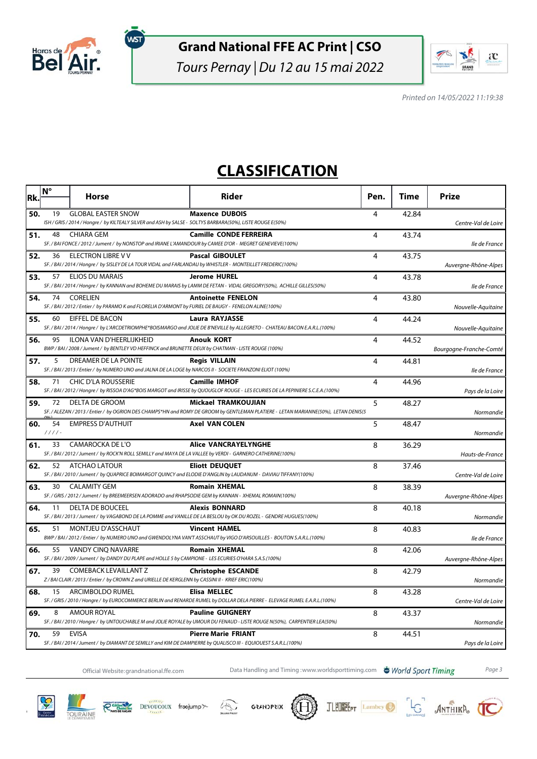

ัพรา

### **Grand National FFE AC Print | CSO**

Tours Pernay | Du 12 au 15 mai 2022



Printed on 14/05/2022 11:19:38

## **CLASSIFICATION**

| Rk. | $N^{\circ}$    | <b>Horse</b>                                                                                                                              | Rider                                                                                                                                                      | Pen. | Time  | <b>Prize</b>            |
|-----|----------------|-------------------------------------------------------------------------------------------------------------------------------------------|------------------------------------------------------------------------------------------------------------------------------------------------------------|------|-------|-------------------------|
| 50. | 19             | <b>GLOBAL EASTER SNOW</b><br>ISH / GRIS / 2014 / Hongre / by KILTEALY SILVER and ASH by SALSE - SOLTYS BARBARA(50%), LISTE ROUGE E(50%)   | <b>Maxence DUBOIS</b>                                                                                                                                      | 4    | 42.84 | Centre-Val de Loire     |
| 51. | 48             | CHIARA GEM<br>SF. / BAI FONCE / 2012 / Jument / by NONSTOP and IRIANE L'AMANDOUR by CAMEE D'OR - MEGRET GENEVIEVE(100%)                   | <b>Camille CONDE FERREIRA</b>                                                                                                                              | 4    | 43.74 | lle de France           |
| 52. | 36             | <b>ELECTRON LIBRE V V</b><br>SF. / BAI / 2014 / Hongre / by SISLEY DE LA TOUR VIDAL and FARLANDAU by WHISTLER - MONTEILLET FREDERIC(100%) | <b>Pascal GIBOULET</b>                                                                                                                                     | 4    | 43.75 | Auvergne-Rhône-Alpes    |
| 53. | 57             | ELIOS DU MARAIS                                                                                                                           | <b>Jerome HUREL</b><br>SF. / BAI / 2014 / Hongre / by KANNAN and BOHEME DU MARAIS by LAMM DE FETAN - VIDAL GREGORY(50%), ACHILLE GILLES(50%)               | 4    | 43.78 | lle de France           |
| 54. | 74             | CORELIEN<br>SF./BAI/2012/Entier/ by PARAMO K and FLORELIA D'ARMONT by FURIEL DE BAUGY - FENELON ALINE(100%)                               | <b>Antoinette FENELON</b>                                                                                                                                  | 4    | 43.80 | Nouvelle-Aquitaine      |
| 55. | 60             | EIFFEL DE BACON                                                                                                                           | <b>Laura RAYJASSE</b><br>SF. / BAI / 2014 / Hongre / by L'ARCDETRIOMPHE*BOISMARGO and JOLIE DE B'NEVILLE by ALLEGRETO - CHATEAU BACON E.A.R.L.(100%)       | 4    | 44.24 | Nouvelle-Aquitaine      |
| 56. | 95             | ILONA VAN D'HEERLIJKHEID<br>BWP / BAI / 2008 / Jument / by BENTLEY VD HEFFINCK and BRUNETTE DEUX by CHATMAN - LISTE ROUGE (100%)          | <b>Anouk KORT</b>                                                                                                                                          | 4    | 44.52 | Bourgogne-Franche-Comté |
| 57. | 5              | DREAMER DE LA POINTE<br>SF. / BAI / 2013 / Entier / by NUMERO UNO and JALNA DE LA LOGE by NARCOS II - SOCIETE FRANZONI ELIOT (100%)       | <b>Regis VILLAIN</b>                                                                                                                                       | 4    | 44.81 | lle de France           |
| 58. | 71             | <b>CHIC D'LA ROUSSERIE</b>                                                                                                                | <b>Camille IMHOF</b><br>SF. / BAI / 2012 / Hongre / by RISSOA D'AG*BOIS MARGOT and IRISSE by QUOUGLOF ROUGE - LES ECURIES DE LA PEPINIERE S.C.E.A. (100%)  | 4    | 44.96 | Pays de la Loire        |
| 59. | 72             | DELTA DE GROOM                                                                                                                            | Mickael TRAMKOUJIAN<br>SF. / ALEZAN / 2013 / Entier / by OGRION DES CHAMPS*HN and ROMY DE GROOM by GENTLEMAN PLATIERE - LETAN MARIANNE(50%), LETAN DENIS(5 | 5    | 48.27 | Normandie               |
| 60. | 54<br>$1111 -$ | <b>EMPRESS D'AUTHUIT</b>                                                                                                                  | <b>Axel VAN COLEN</b>                                                                                                                                      | 5    | 48.47 | Normandie               |
| 61. | 33             | CAMAROCKA DE L'O<br>SF. / BAI / 2012 / Jument / by ROCK'N ROLL SEMILLY and MAYA DE LA VALLEE by VERDI - GARNERO CATHERINE(100%)           | <b>Alice VANCRAYELYNGHE</b>                                                                                                                                | 8    | 36.29 | Hauts-de-France         |
| 62. | 52             | ATCHAO LATOUR                                                                                                                             | <b>Eliott DEUQUET</b><br>SF./BAI/2010/Jument/ by QUAPRICE BOIMARGOT QUINCY and ELODIE D'ANGLIN by LAUDANUM - DAVIAU TIFFANY(100%)                          | 8    | 37.46 | Centre-Val de Loire     |
| 63. | 30             | <b>CALAMITY GEM</b><br>SF. / GRIS / 2012 / Jument / by BREEMEERSEN ADORADO and RHAPSODIE GEM by KANNAN - XHEMAL ROMAIN(100%)              | <b>Romain XHEMAL</b>                                                                                                                                       | 8    | 38.39 | Auvergne-Rhône-Alpes    |
| 64. | 11             | DELTA DE BOUCEEL                                                                                                                          | <b>Alexis BONNARD</b><br>SF. / BAI / 2013 / Jument / by VAGABOND DE LA POMME and VANILLE DE LA BESLOU by OK DU ROZEL - GENDRE HUGUES(100%)                 | 8    | 40.18 | Normandie               |
| 65. | 51             | MONTJEU D'ASSCHAUT                                                                                                                        | <b>Vincent HAMEL</b><br>BWP / BAI / 2012 / Entier / by NUMERO UNO and GWENDOLYNA VAN'T ASSCHAUT by VIGO D'ARSOUILLES - BOUTON S.A.R.L.(100%)               | 8    | 40.83 | lle de France           |
| 66. | 55             | VANDY CINQ NAVARRE<br>SF./BAI/2009/Jument/ by DANDY DU PLAPE and HOLLE 5 by CAMPIONE - LES ECURIES O'HARA S.A.S.(100%)                    | <b>Romain XHEMAL</b>                                                                                                                                       | 8    | 42.06 | Auvergne-Rhône-Alpes    |
| 67. | 39             | <b>COMEBACK LEVAILLANT Z</b><br>Z / BAI CLAIR / 2013 / Entier / by CROWN Z and URIELLE DE KERGLENN by CASSINI II - KRIEF ERIC(100%)       | <b>Christophe ESCANDE</b>                                                                                                                                  | 8    | 42.79 | Normandie               |
| 68. | 15             | ARCIMBOLDO RUMEL                                                                                                                          | <b>Elisa MELLEC</b><br>SF. / GRIS / 2010 / Hongre / by EUROCOMMERCE BERLIN and RENARDE RUMEL by DOLLAR DELA PIERRE - ELEVAGE RUMEL E.A.R.L.(100%)          | 8    | 43.28 | Centre-Val de Loire     |
| 69. | 8              | <b>AMOUR ROYAL</b>                                                                                                                        | <b>Pauline GUIGNERY</b><br>SF. / BAI / 2010 / Hongre / by UNTOUCHABLE M and JOLIE ROYALE by UMOUR DU FENAUD - LISTE ROUGE N(50%), CARPENTIER LEA(50%)      | 8    | 43.37 | Normandie               |
| 70. | 59             | <b>EVISA</b><br>SF./BAI/2014/Jument/ by DIAMANT DE SEMILLY and KIM DE DAMPIERRE by QUALISCO III - EQUIOUEST S.A.R.L.(100%)                | <b>Pierre Marie FRIANT</b>                                                                                                                                 | 8    | 44.51 | Pays de la Loire        |

Official Website:grandnational.ffe.com Data Handling and Timing :www.worldsporttiming.com **& World Sport Timing** Page 3

JLEUNE PT Lambey

LG ANTHIKA CO







谷